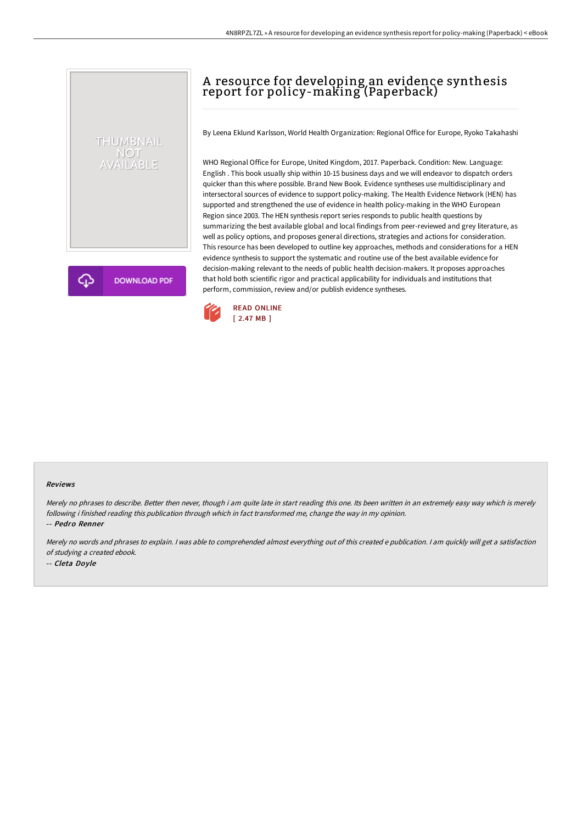## A resource for developing an evidence synthesis report for policy-making (Paperback)

By Leena Eklund Karlsson, World Health Organization: Regional Office for Europe, Ryoko Takahashi

WHO Regional Office for Europe, United Kingdom, 2017. Paperback. Condition: New. Language: English . This book usually ship within 10-15 business days and we will endeavor to dispatch orders quicker than this where possible. Brand New Book. Evidence syntheses use multidisciplinary and intersectoral sources of evidence to support policy-making. The Health Evidence Network (HEN) has supported and strengthened the use of evidence in health policy-making in the WHO European Region since 2003. The HEN synthesis report series responds to public health questions by summarizing the best available global and local findings from peer-reviewed and grey literature, as well as policy options, and proposes general directions, strategies and actions for consideration. This resource has been developed to outline key approaches, methods and considerations for a HEN evidence synthesis to support the systematic and routine use of the best available evidence for decision-making relevant to the needs of public health decision-makers. It proposes approaches that hold both scientific rigor and practical applicability for individuals and institutions that perform, commission, review and/or publish evidence syntheses.



## Reviews

Merely no phrases to describe. Better then never, though i am quite late in start reading this one. Its been written in an extremely easy way which is merely following i finished reading this publication through which in fact transformed me, change the way in my opinion. -- Pedro Renner

THUMBNAIL NOT<br>AVAILABLE

**DOWNLOAD PDF** 

Merely no words and phrases to explain. <sup>I</sup> was able to comprehended almost everything out of this created <sup>e</sup> publication. <sup>I</sup> am quickly will get <sup>a</sup> satisfaction of studying <sup>a</sup> created ebook. -- Cleta Doyle